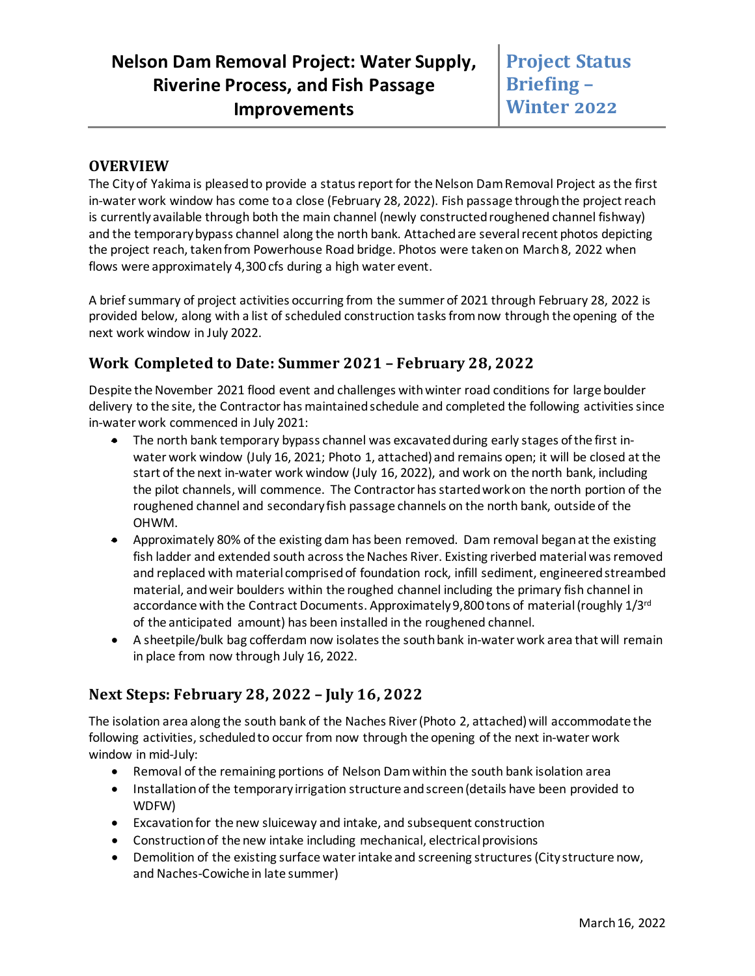### **OVERVIEW**

The City of Yakima is pleased to provide a status report for the Nelson Dam Removal Project as the first in-water work window has come to a close (February 28, 2022). Fish passage through the project reach is currently available through both the main channel (newly constructed roughened channel fishway) and the temporary bypass channel along the north bank. Attached are several recent photos depicting the project reach, taken from Powerhouse Road bridge. Photos were taken on March 8, 2022 when flows were approximately 4,300 cfs during a high water event.

A brief summary of project activities occurring from the summer of 2021 through February 28, 2022 is provided below, along with a list of scheduled construction tasks from now through the opening of the next work window in July 2022.

# **Work Completed to Date: Summer 2021 – February 28, 2022**

Despite the November 2021 flood event and challenges with winter road conditions for large boulder delivery to the site, the Contractor has maintained schedule and completed the following activities since in-water work commenced in July 2021:

- The north bank temporary bypass channel was excavated during early stages of the first inwater work window (July 16, 2021; Photo 1, attached) and remains open; it will be closed at the start of the next in-water work window (July 16, 2022), and work on the north bank, including the pilot channels, will commence. The Contractor has started work on the north portion of the roughened channel and secondary fish passage channels on the north bank, outside of the OHWM.
- Approximately 80% of the existing dam has been removed. Dam removal began at the existing fish ladder and extended south across the Naches River. Existing riverbed material was removed and replaced with material comprised of foundation rock, infill sediment, engineered streambed material, and weir boulders within the roughed channel including the primary fish channel in accordance with the Contract Documents. Approximately 9,800 tons of material (roughly 1/3<sup>rd</sup> of the anticipated amount) has been installed in the roughened channel.
- A sheetpile/bulk bag cofferdam now isolates the south bank in-water work area that will remain in place from now through July 16, 2022.

# **Next Steps: February 28, 2022 – July 16, 2022**

The isolation area along the south bank of the Naches River (Photo 2, attached) will accommodate the following activities, scheduled to occur from now through the opening of the next in-water work window in mid-July:

- Removal of the remaining portions of Nelson Dam within the south bank isolation area
- Installation of the temporary irrigation structure and screen (details have been provided to WDFW)
- Excavation for the new sluiceway and intake, and subsequent construction
- Construction of the new intake including mechanical, electrical provisions
- Demolition of the existing surface water intake and screening structures (City structure now, and Naches-Cowiche in late summer)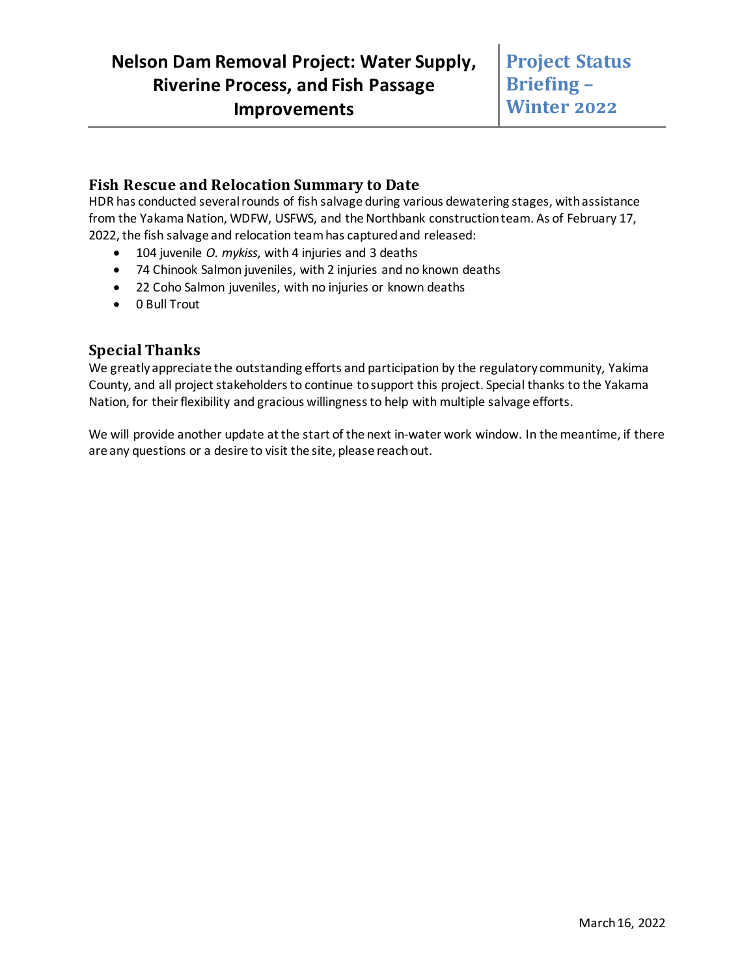#### **Fish Rescue and Relocation Summary to Date**

HDR has conducted several rounds of fish salvage during various dewatering stages, with assistance from the Yakama Nation, WDFW, USFWS, and the Northbank construction team. As of February 17, 2022, the fish salvage and relocation team has captured and released:

- 104 juvenile *O. mykiss*, with 4 injuries and 3 deaths
- 74 Chinook Salmon juveniles, with 2 injuries and no known deaths
- 22 Coho Salmon juveniles, with no injuries or known deaths
- 0 Bull Trout

#### **Special Thanks**

We greatly appreciate the outstanding efforts and participation by the regulatory community, Yakima County, and all project stakeholders to continue to support this project. Special thanks to the Yakama Nation, for their flexibility and gracious willingness to help with multiple salvage efforts.

We will provide another update at the start of the next in-water work window. In the meantime, if there are any questions or a desire to visit the site, please reach out.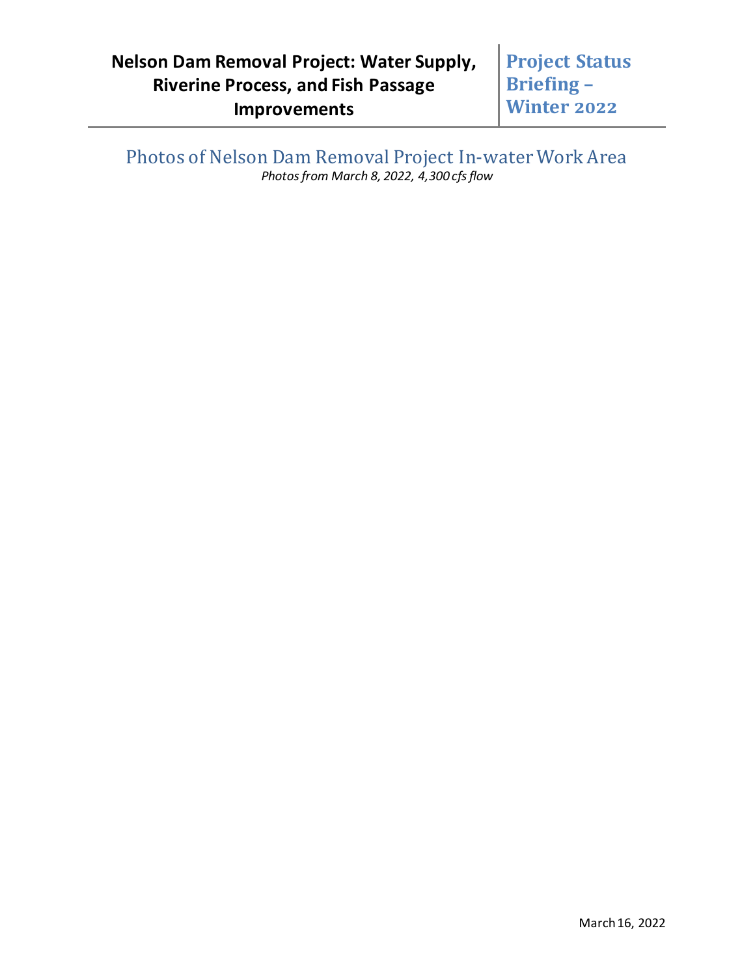Photos of Nelson Dam Removal Project In-water Work Area *Photos from March 8, 2022, 4,300 cfs flow*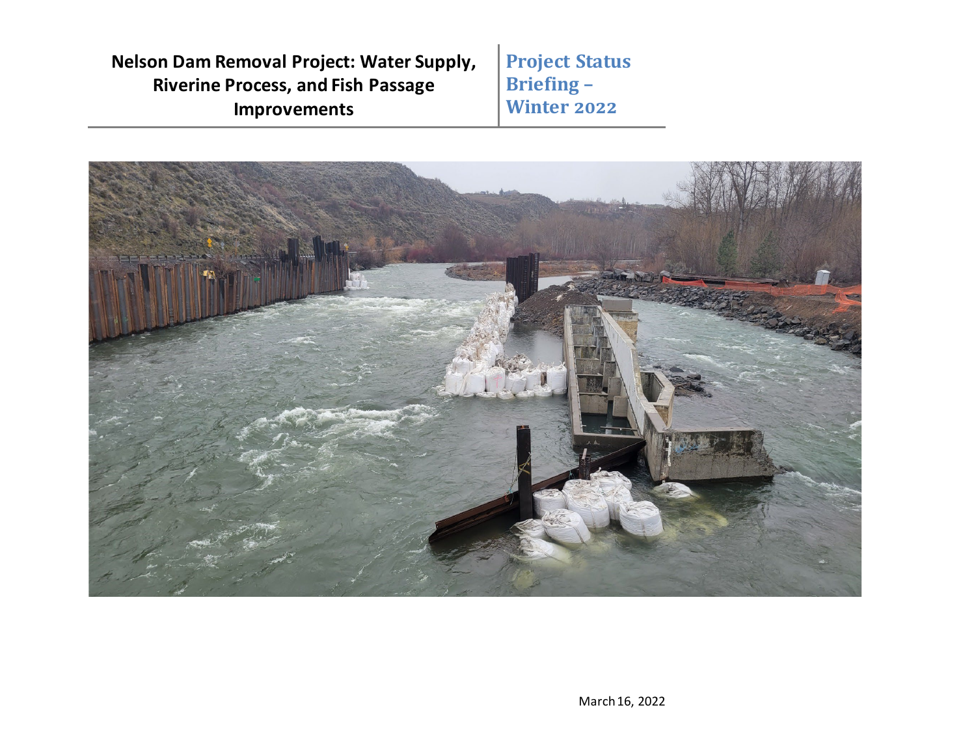**Nelson Dam Removal Project: Water Supply, Riverine Process, and Fish Passage Improvements**

**Project Status Briefing – Winter 2022**